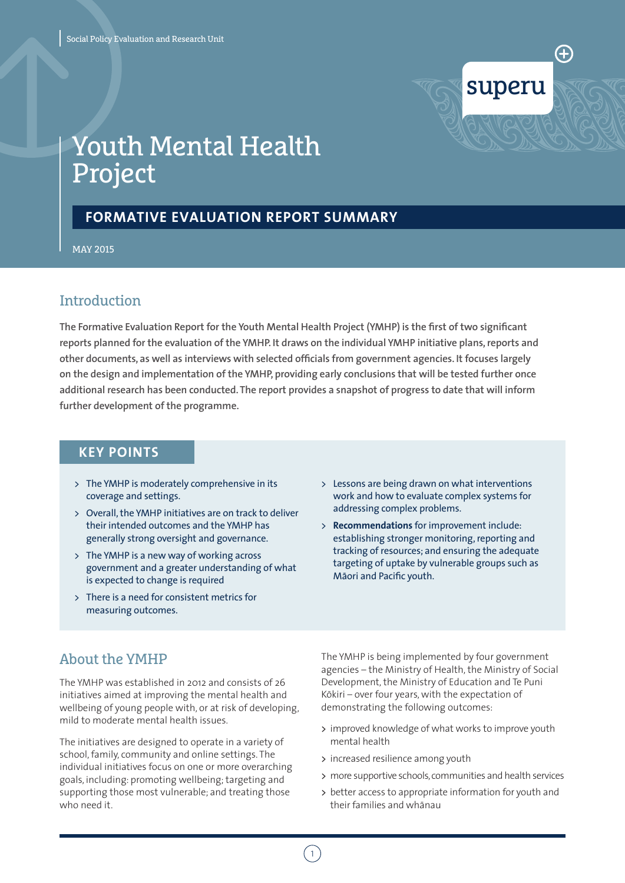

# Youth Mental Health Project

# **FORMATIVE EVALUATION REPORT SUMMARY**

MAY 2015

# Introduction

**The Formative Evaluation Report for the Youth Mental Health Project (YMHP) is the first of two significant reports planned for the evaluation of the YMHP. It draws on the individual YMHP initiative plans, reports and other documents, as well as interviews with selected officials from government agencies. It focuses largely on the design and implementation of the YMHP, providing early conclusions that will be tested further once additional research has been conducted. The report provides a snapshot of progress to date that will inform further development of the programme.**

### **KEY POINTS**

- > The YMHP is moderately comprehensive in its coverage and settings.
- $\rightarrow$  Overall, the YMHP initiatives are on track to deliver their intended outcomes and the YMHP has generally strong oversight and governance.
- > The YMHP is a new way of working across government and a greater understanding of what is expected to change is required
- > There is a need for consistent metrics for measuring outcomes.
- > Lessons are being drawn on what interventions work and how to evaluate complex systems for addressing complex problems.
- > **Recommendations** for improvement include: establishing stronger monitoring, reporting and tracking of resources; and ensuring the adequate targeting of uptake by vulnerable groups such as Māori and Pacific youth.

# About the YMHP

The YMHP was established in 2012 and consists of 26 initiatives aimed at improving the mental health and wellbeing of young people with, or at risk of developing, mild to moderate mental health issues.

The initiatives are designed to operate in a variety of school, family, community and online settings. The individual initiatives focus on one or more overarching goals, including: promoting wellbeing; targeting and supporting those most vulnerable; and treating those who need it.

The YMHP is being implemented by four government agencies – the Ministry of Health, the Ministry of Social Development, the Ministry of Education and Te Puni Kōkiri – over four years, with the expectation of demonstrating the following outcomes:

- > improved knowledge of what works to improve youth mental health
- > increased resilience among youth
- > more supportive schools, communities and health services
- > better access to appropriate information for youth and their families and whanau

 $\left(1\right)$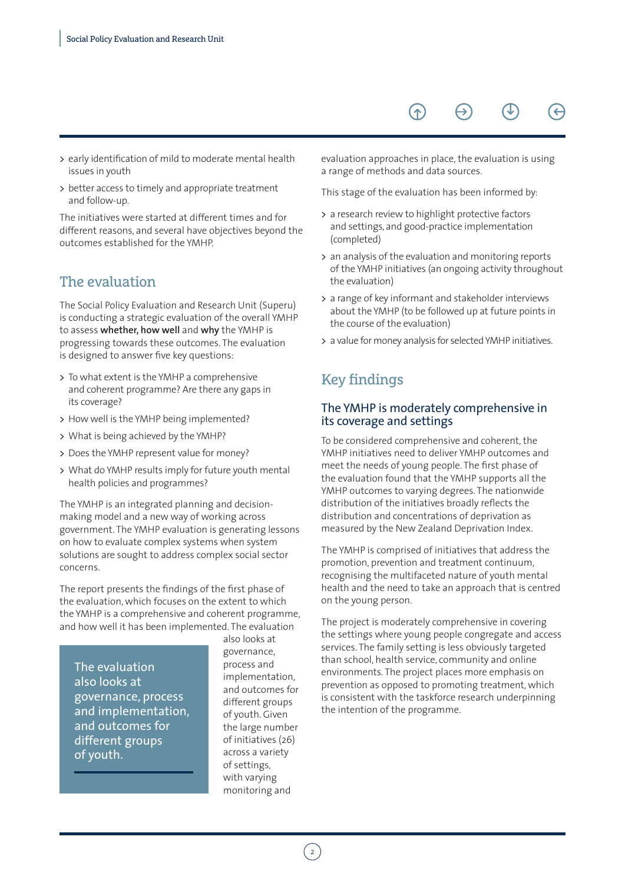#### $\left( \begin{matrix} \begin{matrix} 1 \end{matrix} \end{matrix} \right)$  $\Theta$

- > early identification of mild to moderate mental health issues in youth
- > better access to timely and appropriate treatment and follow-up.

The initiatives were started at different times and for different reasons, and several have objectives beyond the outcomes established for the YMHP.

# The evaluation

The Social Policy Evaluation and Research Unit (Superu) is conducting a strategic evaluation of the overall YMHP to assess **whether, how well** and **why** the YMHP is progressing towards these outcomes. The evaluation is designed to answer five key questions:

- > To what extent is the YMHP a comprehensive and coherent programme? Are there any gaps in its coverage?
- > How well is the YMHP being implemented?
- > What is being achieved by the YMHP?
- > Does the YMHP represent value for money?
- > What do YMHP results imply for future youth mental health policies and programmes?

The YMHP is an integrated planning and decisionmaking model and a new way of working across government. The YMHP evaluation is generating lessons on how to evaluate complex systems when system solutions are sought to address complex social sector concerns.

The report presents the findings of the first phase of the evaluation, which focuses on the extent to which the YMHP is a comprehensive and coherent programme, and how well it has been implemented. The evaluation

The evaluation also looks at governance, process and implementation, and outcomes for different groups of youth.

also looks at governance, process and implementation, and outcomes for different groups of youth. Given the large number of initiatives (26) across a variety of settings, with varying monitoring and

evaluation approaches in place, the evaluation is using a range of methods and data sources.

This stage of the evaluation has been informed by:

- > a research review to highlight protective factors and settings, and good-practice implementation (completed)
- > an analysis of the evaluation and monitoring reports of the YMHP initiatives (an ongoing activity throughout the evaluation)
- > a range of key informant and stakeholder interviews about the YMHP (to be followed up at future points in the course of the evaluation)
- > a value for money analysis for selected YMHP initiatives.

# Key findings

#### The YMHP is moderately comprehensive in its coverage and settings

To be considered comprehensive and coherent, the YMHP initiatives need to deliver YMHP outcomes and meet the needs of young people. The first phase of the evaluation found that the YMHP supports all the YMHP outcomes to varying degrees. The nationwide distribution of the initiatives broadly reflects the distribution and concentrations of deprivation as measured by the New Zealand Deprivation Index.

The YMHP is comprised of initiatives that address the promotion, prevention and treatment continuum, recognising the multifaceted nature of youth mental health and the need to take an approach that is centred on the young person.

The project is moderately comprehensive in covering the settings where young people congregate and access services. The family setting is less obviously targeted than school, health service, community and online environments. The project places more emphasis on prevention as opposed to promoting treatment, which is consistent with the taskforce research underpinning the intention of the programme.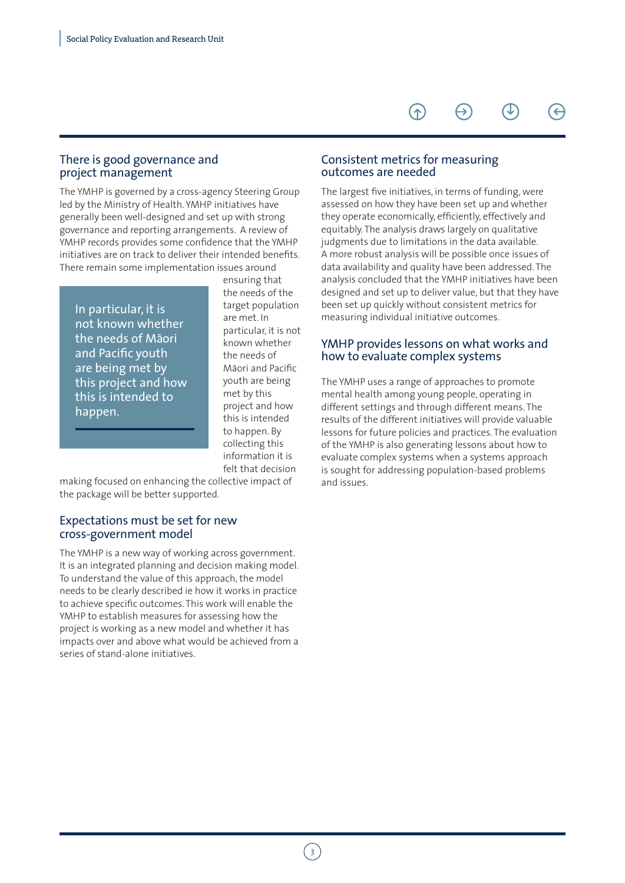### There is good governance and project management

The YMHP is governed by a cross-agency Steering Group led by the Ministry of Health. YMHP initiatives have generally been well-designed and set up with strong governance and reporting arrangements. A review of YMHP records provides some confidence that the YMHP initiatives are on track to deliver their intended benefits. There remain some implementation issues around

In particular, it is not known whether the needs of Māori and Pacific youth are being met by this project and how this is intended to happen.

ensuring that the needs of the target population are met. In particular, it is not known whether the needs of Māori and Pacific youth are being met by this project and how this is intended to happen. By collecting this information it is felt that decision

making focused on enhancing the collective impact of the package will be better supported.

#### Expectations must be set for new cross-government model

The YMHP is a new way of working across government. It is an integrated planning and decision making model. To understand the value of this approach, the model needs to be clearly described ie how it works in practice to achieve specific outcomes. This work will enable the YMHP to establish measures for assessing how the project is working as a new model and whether it has impacts over and above what would be achieved from a series of stand-alone initiatives.

#### Consistent metrics for measuring outcomes are needed

The largest five initiatives, in terms of funding, were assessed on how they have been set up and whether they operate economically, efficiently, effectively and equitably. The analysis draws largely on qualitative judgments due to limitations in the data available. A more robust analysis will be possible once issues of data availability and quality have been addressed. The analysis concluded that the YMHP initiatives have been designed and set up to deliver value, but that they have been set up quickly without consistent metrics for measuring individual initiative outcomes.

#### YMHP provides lessons on what works and how to evaluate complex systems

The YMHP uses a range of approaches to promote mental health among young people, operating in different settings and through different means. The results of the different initiatives will provide valuable lessons for future policies and practices. The evaluation of the YMHP is also generating lessons about how to evaluate complex systems when a systems approach is sought for addressing population-based problems and issues.